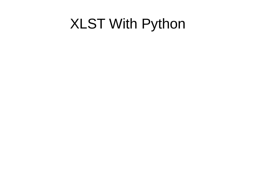### XLST With Python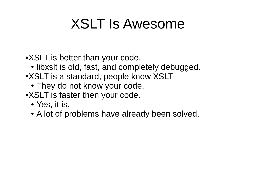## XSLT Is Awesome

•XSLT is better than your code.

- libxslt is old, fast, and completely debugged.
- •XSLT is a standard, people know XSLT
	- They do not know your code.
- •XSLT is faster then your code.
	- Yes, it is.
	- A lot of problems have already been solved.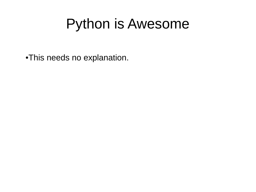## Python is Awesome

●This needs no explanation.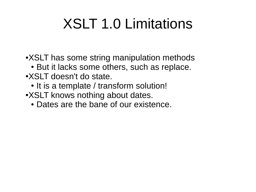# XSLT 1.0 Limitations

• XSLT has some string manipulation methods

- But it lacks some others, such as replace.
- XSLT doesn't do state.
	- It is a template / transform solution!
- •XSLT knows nothing about dates.
	- Dates are the bane of our existence.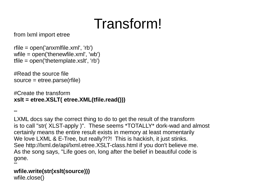# Transform!

from lxml import etree

rfile = open('anxmlfile.xml', 'rb') wfile = open('thenewfile.xml', 'wb') tfile = open('thetemplate.xslt', 'rb')

#Read the source file source = etree.parse(rfile)

#Create the transform **xslt = etree.XSLT( etree.XML(tfile.read()))**

 $^{\prime\prime\prime}$ 

LXML docs say the correct thing to do to get the result of the transform is to call "str( XLST-apply )". These seems \*TOTALLY\* dork-wad and almost certainly means the entire result exists in memory at least momentarily We love LXML & E-Tree, but really?!?! This is hackish, it just stinks. See http://lxml.de/api/lxml.etree.XSLT-class.html if you don't believe me. As the song says, "Life goes on, long after the belief in beautiful code is gone.  $^{\prime\prime\prime}$ 

**wfile.write(str(xslt(source)))** wfile.close()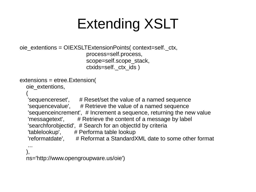# Extending XSLT

```
oie_extentions = OIEXSLTExtensionPoints( context=self._ctx,
                          process=self.process,
                         scope=self.scope_stack,
                         ctxids=self._ctx_ids )
```

```
extensions = etree.Extension(
```

```
 oie_extentions,
```

```
\overline{\phantom{a}}
```

```
'sequencereset', # Reset/set the value of a named sequence
'sequencevalue', # Retrieve the value of a named sequence
'sequenceincrement', # Increment a sequence, returning the new value
'messagetext', \# Retrieve the content of a message by label
'searchforobjectid', # Search for an objectid by criteria
'tablelookup', # Performa table lookup
'reformatdate', \# Reformat a StandardXML date to some other format
```

```
 ...
 ),
   ns='http://www.opengroupware.us/oie')
```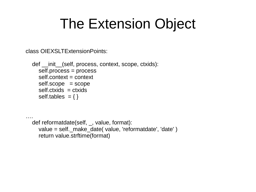## The Extension Object

class OIEXSLTExtensionPoints:

….

 def \_\_init\_\_(self, process, context, scope, ctxids): self.process = process self.context = context self.scope = scope self.ctxids = ctxids self.tables =  $\{ \}$ 

 def reformatdate(self, \_, value, format): value = self. make\_date( value, 'reformatdate', 'date' ) return value.strftime(format)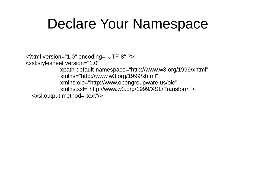#### Declare Your Namespace

<?xml version="1.0" encoding="UTF-8" ?> <xsl:stylesheet version="1.0" xpath-default-namespace="http://www.w3.org/1999/xhtml" xmlns="http://www.w3.org/1999/xhtml" xmlns:oie="http://www.opengroupware.us/oie" xmlns:xsl="http://www.w3.org/1999/XSL/Transform"> <xsl:output method="text"/>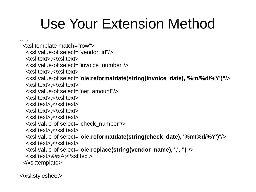# Use Your Extension Method

….

<xsl:template match="row">

<xsl:value-of select="vendor\_id"/>

<xsl:text>,</xsl:text>

<xsl:value-of select="invoice\_number"/>

<xsl:text>,</xsl:text>

<xsl:value-of select="**oie:reformatdate(string(invoice\_date), '%m/%d/%Y')"/**>

<xsl:text>,</xsl:text>

<xsl:value-of select="net\_amount"/>

<xsl:text>,</xsl:text>

<xsl:text>,</xsl:text>

<xsl:text>,</xsl:text>

<xsl:text>,</xsl:text>

<xsl:value-of select="check\_number"/>

<xsl:text>,</xsl:text>

<xsl:value-of select="**oie:reformatdate(string(check\_date), '%m/%d/%Y')**"/>

<xsl:text>,</xsl:text>

<xsl:value-of select="**oie:replace(string(vendor\_name), ',', '')**"/>

<xsl:text>&#xA;</xsl:text>

</xsl:template>

</xsl:stylesheet>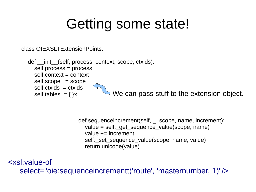## Getting some state!

class OIEXSLTExtensionPoints:

def init (self, process, context, scope, ctxids): self.process = process self.context = context self.scope = scope self.ctxids = ctxids self.tables =  $\{ \}x$ We can pass stuff to the extension object.

> def sequenceincrement(self, \_, scope, name, increment): value = self. get sequence value(scope, name) value  $+=$  increment self. set sequence value(scope, name, value) return unicode(value)

<xsl:value-of select="oie:sequenceincrementt('route', 'masternumber, 1)"/>